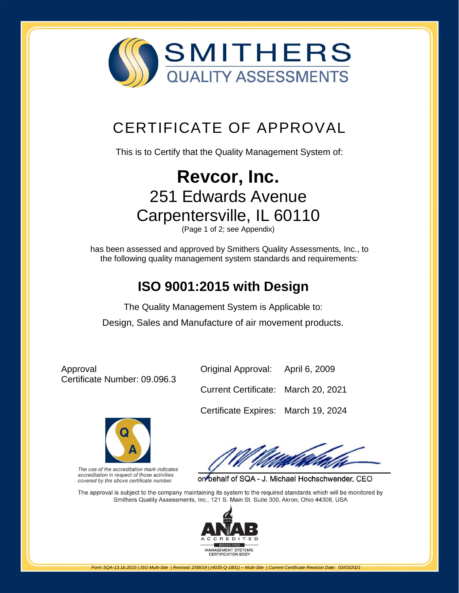

## [CERTIFICATE OF APPROVAL](http://www.smithersregistrar.com/)

This is to Certify that the Quality Management System of:

# **Revcor, Inc.** 251 Edwards Avenue Carpentersville, IL 60110

(Page 1 of 2; see Appendix)

has been assessed and approved by Smithers Quality Assessments, Inc., to the following quality management system standards and requirements:

### **ISO 9001:2015 with Design**

The Quality Management System is Applicable to: Design, Sales and Manufacture of air movement products.

Approval Certificate Number: 09.096.3



The use of the accreditation mark indicates accreditation in respect of those activities covered by the above certificate number.

Original Approval: April 6, 2009

Current Certificate: March 20, 2021

Certificate Expires: March 19, 2024

on behalf of SQA - J. Michael Hochschwender, CEO

The approval is subject to the company maintaining its system to the required standards which will be monitored by Smithers Quality Assessments, Inc., 121 S. Main St. Suite 300, Akron, Ohio 44308, USA